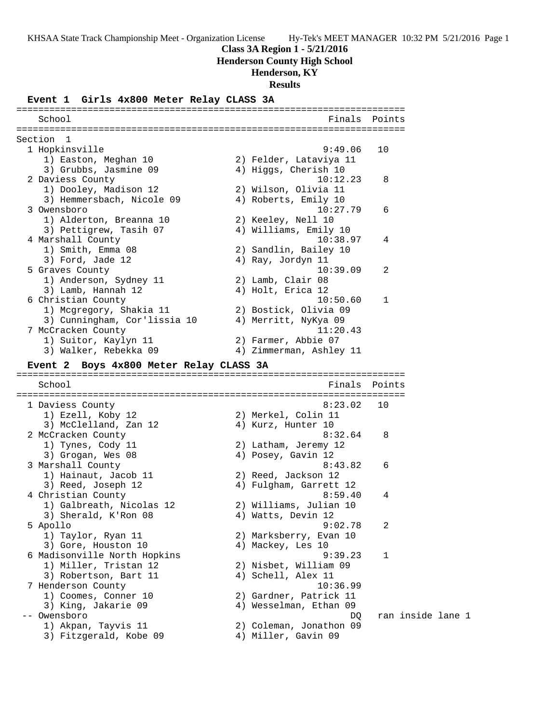### **Class 3A Region 1 - 5/21/2016**

**Henderson County High School**

### **Henderson, KY**

**Results**

### **Event 1 Girls 4x800 Meter Relay CLASS 3A**

======================================================================= School **Finals** Points ======================================================================= Section 1<br>1 Hopkinsville 1 Hopkinsville 9:49.06 10 1) Easton, Meghan 10 2) Felder, Lataviya 11 3) Grubbs, Jasmine 09  $\hskip1cm \hskip1cm 4$ ) Higgs, Cherish 10 2 Daviess County 10:12.23 8 1) Dooley, Madison 12 2) Wilson, Olivia 11 3) Hemmersbach, Nicole 09 (4) Roberts, Emily 10 3 Owensboro 10:27.79 6 1) Alderton, Breanna 10 2) Keeley, Nell 10 3) Pettigrew, Tasih 07 4) Williams, Emily 10 4 Marshall County 10:38.97 4 1) Smith, Emma 08 2) Sandlin, Bailey 10 3) Ford, Jade 12 (4) Ray, Jordyn 11 5 Graves County 10:39.09 2 1) Anderson, Sydney 11 2) Lamb, Clair 08 3) Lamb, Hannah 12 (4) Holt, Erica 12 6 Christian County 10:50.60 1 1) Mcgregory, Shakia 11 2) Bostick, Olivia 09 3) Cunningham, Cor'lissia 10 4) Merritt, NyKya 09 7 McCracken County 11:20.43 1) Suitor, Kaylyn 11 2) Farmer, Abbie 07 3) Walker, Rebekka 09 4) Zimmerman, Ashley 11 **Event 2 Boys 4x800 Meter Relay CLASS 3A** ======================================================================= School **Finals Points** ======================================================================= 1 Daviess County 8:23.02 10 1) Ezell, Koby 12 2) Merkel, Colin 11 3) McClelland, Zan 12 (4) Kurz, Hunter 10 2 McCracken County 8:32.64 8 1) Tynes, Cody 11 2) Latham, Jeremy 12 3) Grogan, Wes 08 4) Posey, Gavin 12 3 Marshall County 8:43.82 6 1) Hainaut, Jacob 11 2) Reed, Jackson 12 3) Reed, Joseph 12 4) Fulgham, Garrett 12 4 Christian County 8:59.40 4 1) Galbreath, Nicolas 12 2) Williams, Julian 10 3) Sherald, K'Ron 08 4) Watts, Devin 12 5 Apollo 9:02.78 2 1) Taylor, Ryan 11 2) Marksberry, Evan 10 3) Gore, Houston 10 (4) Mackey, Les 10 6 Madisonville North Hopkins 9:39.23 1 1) Miller, Tristan 12 2) Nisbet, William 09 3) Robertson, Bart 11 (4) Schell, Alex 11 7 Henderson County 10:36.99 1) Coomes, Conner 10 2) Gardner, Patrick 11 3) King, Jakarie 09 4) Wesselman, Ethan 09 -- Owensboro DQ ran inside lane 1 1) Akpan, Tayvis 11 2) Coleman, Jonathon 09 3) Fitzgerald, Kobe 09 4) Miller, Gavin 09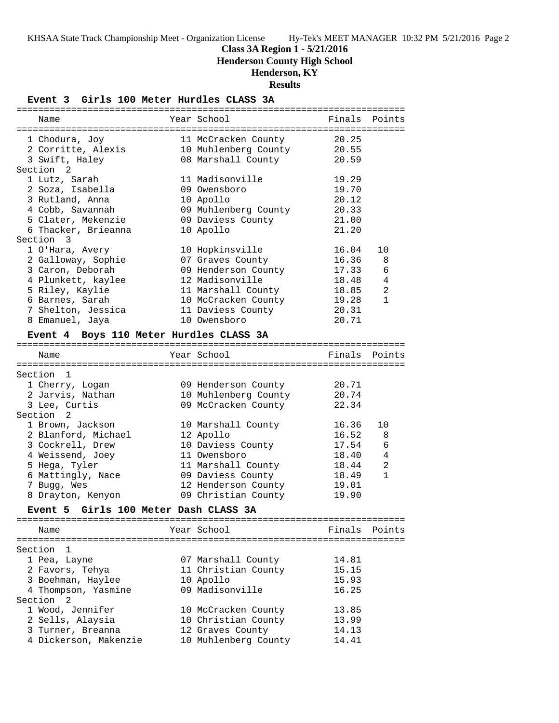**Class 3A Region 1 - 5/21/2016**

**Henderson County High School**

# **Henderson, KY**

**Results**

### **Event 3 Girls 100 Meter Hurdles CLASS 3A**

| Year School<br>Finals<br>Points<br>Name<br>20.25<br>1 Chodura, Joy<br>11 McCracken County<br>10 Muhlenberg County<br>20.55<br>2 Corritte, Alexis<br>3 Swift, Haley<br>08 Marshall County<br>20.59<br>Section <sub>2</sub><br>11 Madisonville<br>19.29<br>1 Lutz, Sarah<br>2 Soza, Isabella<br>09 Owensboro<br>19.70<br>20.12<br>3 Rutland, Anna<br>10 Apollo<br>20.33<br>4 Cobb, Savannah<br>09 Muhlenberg County<br>5 Clater, Mekenzie<br>21.00<br>09 Daviess County<br>6 Thacker, Brieanna<br>21.20<br>10 Apollo<br>Section 3<br>10 Hopkinsville<br>1 O'Hara, Avery<br>16.04<br>10<br>2 Galloway, Sophie<br>07 Graves County<br>16.36<br>8<br>3 Caron, Deborah<br>09 Henderson County<br>17.33<br>6<br>4 Plunkett, kaylee<br>12 Madisonville<br>18.48<br>4<br>2<br>5 Riley, Kaylie<br>11 Marshall County<br>18.85<br>$\mathbf{1}$<br>6 Barnes, Sarah<br>10 McCracken County<br>19.28<br>7 Shelton, Jessica<br>11 Daviess County<br>20.31<br>20.71<br>10 Owensboro<br>8 Emanuel, Jaya<br>Event 4 Boys 110 Meter Hurdles CLASS 3A<br>Year School<br>Finals<br>Points<br>Name<br>Section 1<br>20.71<br>1 Cherry, Logan<br>09 Henderson County<br>10 Muhlenberg County<br>2 Jarvis, Nathan<br>20.74<br>09 McCracken County<br>3 Lee, Curtis<br>22.34<br>Section 2<br>1 Brown, Jackson<br>10 Marshall County<br>16.36<br>10<br>2 Blanford, Michael<br>16.52<br>12 Apollo<br>8<br>3 Cockrell, Drew<br>10 Daviess County<br>17.54<br>6<br>4 Weissend, Joey<br>11 Owensboro<br>18.40<br>4<br>$\overline{a}$<br>5 Hega, Tyler<br>11 Marshall County<br>18.44<br>$\mathbf{1}$<br>6 Mattingly, Nace<br>09 Daviess County<br>18.49<br>7 Bugg, Wes<br>12 Henderson County<br>19.01<br>19.90<br>8 Drayton, Kenyon<br>09 Christian County<br>Event 5 Girls 100 Meter Dash CLASS 3A<br>Year School<br>Finals<br>Points<br>Name<br>Section 1<br>1 Pea, Layne<br>07 Marshall County<br>14.81<br>2 Favors, Tehya<br>11 Christian County<br>15.15<br>3 Boehman, Haylee<br>10 Apollo<br>15.93<br>09 Madisonville<br>4 Thompson, Yasmine<br>16.25<br>Section <sub>2</sub><br>1 Wood, Jennifer<br>10 McCracken County<br>13.85<br>2 Sells, Alaysia<br>10 Christian County<br>13.99<br>3 Turner, Breanna<br>14.13<br>12 Graves County<br>4 Dickerson, Makenzie<br>10 Muhlenberg County<br>14.41 |  |  |  |
|---------------------------------------------------------------------------------------------------------------------------------------------------------------------------------------------------------------------------------------------------------------------------------------------------------------------------------------------------------------------------------------------------------------------------------------------------------------------------------------------------------------------------------------------------------------------------------------------------------------------------------------------------------------------------------------------------------------------------------------------------------------------------------------------------------------------------------------------------------------------------------------------------------------------------------------------------------------------------------------------------------------------------------------------------------------------------------------------------------------------------------------------------------------------------------------------------------------------------------------------------------------------------------------------------------------------------------------------------------------------------------------------------------------------------------------------------------------------------------------------------------------------------------------------------------------------------------------------------------------------------------------------------------------------------------------------------------------------------------------------------------------------------------------------------------------------------------------------------------------------------------------------------------------------------------------------------------------------------------------------------------------------------------------------------------------------------------------------------------------------------------------------------------------------------------------------------------------------------------------------------------------------------|--|--|--|
|                                                                                                                                                                                                                                                                                                                                                                                                                                                                                                                                                                                                                                                                                                                                                                                                                                                                                                                                                                                                                                                                                                                                                                                                                                                                                                                                                                                                                                                                                                                                                                                                                                                                                                                                                                                                                                                                                                                                                                                                                                                                                                                                                                                                                                                                           |  |  |  |
|                                                                                                                                                                                                                                                                                                                                                                                                                                                                                                                                                                                                                                                                                                                                                                                                                                                                                                                                                                                                                                                                                                                                                                                                                                                                                                                                                                                                                                                                                                                                                                                                                                                                                                                                                                                                                                                                                                                                                                                                                                                                                                                                                                                                                                                                           |  |  |  |
|                                                                                                                                                                                                                                                                                                                                                                                                                                                                                                                                                                                                                                                                                                                                                                                                                                                                                                                                                                                                                                                                                                                                                                                                                                                                                                                                                                                                                                                                                                                                                                                                                                                                                                                                                                                                                                                                                                                                                                                                                                                                                                                                                                                                                                                                           |  |  |  |
|                                                                                                                                                                                                                                                                                                                                                                                                                                                                                                                                                                                                                                                                                                                                                                                                                                                                                                                                                                                                                                                                                                                                                                                                                                                                                                                                                                                                                                                                                                                                                                                                                                                                                                                                                                                                                                                                                                                                                                                                                                                                                                                                                                                                                                                                           |  |  |  |
|                                                                                                                                                                                                                                                                                                                                                                                                                                                                                                                                                                                                                                                                                                                                                                                                                                                                                                                                                                                                                                                                                                                                                                                                                                                                                                                                                                                                                                                                                                                                                                                                                                                                                                                                                                                                                                                                                                                                                                                                                                                                                                                                                                                                                                                                           |  |  |  |
|                                                                                                                                                                                                                                                                                                                                                                                                                                                                                                                                                                                                                                                                                                                                                                                                                                                                                                                                                                                                                                                                                                                                                                                                                                                                                                                                                                                                                                                                                                                                                                                                                                                                                                                                                                                                                                                                                                                                                                                                                                                                                                                                                                                                                                                                           |  |  |  |
|                                                                                                                                                                                                                                                                                                                                                                                                                                                                                                                                                                                                                                                                                                                                                                                                                                                                                                                                                                                                                                                                                                                                                                                                                                                                                                                                                                                                                                                                                                                                                                                                                                                                                                                                                                                                                                                                                                                                                                                                                                                                                                                                                                                                                                                                           |  |  |  |
|                                                                                                                                                                                                                                                                                                                                                                                                                                                                                                                                                                                                                                                                                                                                                                                                                                                                                                                                                                                                                                                                                                                                                                                                                                                                                                                                                                                                                                                                                                                                                                                                                                                                                                                                                                                                                                                                                                                                                                                                                                                                                                                                                                                                                                                                           |  |  |  |
|                                                                                                                                                                                                                                                                                                                                                                                                                                                                                                                                                                                                                                                                                                                                                                                                                                                                                                                                                                                                                                                                                                                                                                                                                                                                                                                                                                                                                                                                                                                                                                                                                                                                                                                                                                                                                                                                                                                                                                                                                                                                                                                                                                                                                                                                           |  |  |  |
|                                                                                                                                                                                                                                                                                                                                                                                                                                                                                                                                                                                                                                                                                                                                                                                                                                                                                                                                                                                                                                                                                                                                                                                                                                                                                                                                                                                                                                                                                                                                                                                                                                                                                                                                                                                                                                                                                                                                                                                                                                                                                                                                                                                                                                                                           |  |  |  |
|                                                                                                                                                                                                                                                                                                                                                                                                                                                                                                                                                                                                                                                                                                                                                                                                                                                                                                                                                                                                                                                                                                                                                                                                                                                                                                                                                                                                                                                                                                                                                                                                                                                                                                                                                                                                                                                                                                                                                                                                                                                                                                                                                                                                                                                                           |  |  |  |
|                                                                                                                                                                                                                                                                                                                                                                                                                                                                                                                                                                                                                                                                                                                                                                                                                                                                                                                                                                                                                                                                                                                                                                                                                                                                                                                                                                                                                                                                                                                                                                                                                                                                                                                                                                                                                                                                                                                                                                                                                                                                                                                                                                                                                                                                           |  |  |  |
|                                                                                                                                                                                                                                                                                                                                                                                                                                                                                                                                                                                                                                                                                                                                                                                                                                                                                                                                                                                                                                                                                                                                                                                                                                                                                                                                                                                                                                                                                                                                                                                                                                                                                                                                                                                                                                                                                                                                                                                                                                                                                                                                                                                                                                                                           |  |  |  |
|                                                                                                                                                                                                                                                                                                                                                                                                                                                                                                                                                                                                                                                                                                                                                                                                                                                                                                                                                                                                                                                                                                                                                                                                                                                                                                                                                                                                                                                                                                                                                                                                                                                                                                                                                                                                                                                                                                                                                                                                                                                                                                                                                                                                                                                                           |  |  |  |
|                                                                                                                                                                                                                                                                                                                                                                                                                                                                                                                                                                                                                                                                                                                                                                                                                                                                                                                                                                                                                                                                                                                                                                                                                                                                                                                                                                                                                                                                                                                                                                                                                                                                                                                                                                                                                                                                                                                                                                                                                                                                                                                                                                                                                                                                           |  |  |  |
|                                                                                                                                                                                                                                                                                                                                                                                                                                                                                                                                                                                                                                                                                                                                                                                                                                                                                                                                                                                                                                                                                                                                                                                                                                                                                                                                                                                                                                                                                                                                                                                                                                                                                                                                                                                                                                                                                                                                                                                                                                                                                                                                                                                                                                                                           |  |  |  |
|                                                                                                                                                                                                                                                                                                                                                                                                                                                                                                                                                                                                                                                                                                                                                                                                                                                                                                                                                                                                                                                                                                                                                                                                                                                                                                                                                                                                                                                                                                                                                                                                                                                                                                                                                                                                                                                                                                                                                                                                                                                                                                                                                                                                                                                                           |  |  |  |
|                                                                                                                                                                                                                                                                                                                                                                                                                                                                                                                                                                                                                                                                                                                                                                                                                                                                                                                                                                                                                                                                                                                                                                                                                                                                                                                                                                                                                                                                                                                                                                                                                                                                                                                                                                                                                                                                                                                                                                                                                                                                                                                                                                                                                                                                           |  |  |  |
|                                                                                                                                                                                                                                                                                                                                                                                                                                                                                                                                                                                                                                                                                                                                                                                                                                                                                                                                                                                                                                                                                                                                                                                                                                                                                                                                                                                                                                                                                                                                                                                                                                                                                                                                                                                                                                                                                                                                                                                                                                                                                                                                                                                                                                                                           |  |  |  |
|                                                                                                                                                                                                                                                                                                                                                                                                                                                                                                                                                                                                                                                                                                                                                                                                                                                                                                                                                                                                                                                                                                                                                                                                                                                                                                                                                                                                                                                                                                                                                                                                                                                                                                                                                                                                                                                                                                                                                                                                                                                                                                                                                                                                                                                                           |  |  |  |
|                                                                                                                                                                                                                                                                                                                                                                                                                                                                                                                                                                                                                                                                                                                                                                                                                                                                                                                                                                                                                                                                                                                                                                                                                                                                                                                                                                                                                                                                                                                                                                                                                                                                                                                                                                                                                                                                                                                                                                                                                                                                                                                                                                                                                                                                           |  |  |  |
|                                                                                                                                                                                                                                                                                                                                                                                                                                                                                                                                                                                                                                                                                                                                                                                                                                                                                                                                                                                                                                                                                                                                                                                                                                                                                                                                                                                                                                                                                                                                                                                                                                                                                                                                                                                                                                                                                                                                                                                                                                                                                                                                                                                                                                                                           |  |  |  |
|                                                                                                                                                                                                                                                                                                                                                                                                                                                                                                                                                                                                                                                                                                                                                                                                                                                                                                                                                                                                                                                                                                                                                                                                                                                                                                                                                                                                                                                                                                                                                                                                                                                                                                                                                                                                                                                                                                                                                                                                                                                                                                                                                                                                                                                                           |  |  |  |
|                                                                                                                                                                                                                                                                                                                                                                                                                                                                                                                                                                                                                                                                                                                                                                                                                                                                                                                                                                                                                                                                                                                                                                                                                                                                                                                                                                                                                                                                                                                                                                                                                                                                                                                                                                                                                                                                                                                                                                                                                                                                                                                                                                                                                                                                           |  |  |  |
|                                                                                                                                                                                                                                                                                                                                                                                                                                                                                                                                                                                                                                                                                                                                                                                                                                                                                                                                                                                                                                                                                                                                                                                                                                                                                                                                                                                                                                                                                                                                                                                                                                                                                                                                                                                                                                                                                                                                                                                                                                                                                                                                                                                                                                                                           |  |  |  |
|                                                                                                                                                                                                                                                                                                                                                                                                                                                                                                                                                                                                                                                                                                                                                                                                                                                                                                                                                                                                                                                                                                                                                                                                                                                                                                                                                                                                                                                                                                                                                                                                                                                                                                                                                                                                                                                                                                                                                                                                                                                                                                                                                                                                                                                                           |  |  |  |
|                                                                                                                                                                                                                                                                                                                                                                                                                                                                                                                                                                                                                                                                                                                                                                                                                                                                                                                                                                                                                                                                                                                                                                                                                                                                                                                                                                                                                                                                                                                                                                                                                                                                                                                                                                                                                                                                                                                                                                                                                                                                                                                                                                                                                                                                           |  |  |  |
|                                                                                                                                                                                                                                                                                                                                                                                                                                                                                                                                                                                                                                                                                                                                                                                                                                                                                                                                                                                                                                                                                                                                                                                                                                                                                                                                                                                                                                                                                                                                                                                                                                                                                                                                                                                                                                                                                                                                                                                                                                                                                                                                                                                                                                                                           |  |  |  |
|                                                                                                                                                                                                                                                                                                                                                                                                                                                                                                                                                                                                                                                                                                                                                                                                                                                                                                                                                                                                                                                                                                                                                                                                                                                                                                                                                                                                                                                                                                                                                                                                                                                                                                                                                                                                                                                                                                                                                                                                                                                                                                                                                                                                                                                                           |  |  |  |
|                                                                                                                                                                                                                                                                                                                                                                                                                                                                                                                                                                                                                                                                                                                                                                                                                                                                                                                                                                                                                                                                                                                                                                                                                                                                                                                                                                                                                                                                                                                                                                                                                                                                                                                                                                                                                                                                                                                                                                                                                                                                                                                                                                                                                                                                           |  |  |  |
|                                                                                                                                                                                                                                                                                                                                                                                                                                                                                                                                                                                                                                                                                                                                                                                                                                                                                                                                                                                                                                                                                                                                                                                                                                                                                                                                                                                                                                                                                                                                                                                                                                                                                                                                                                                                                                                                                                                                                                                                                                                                                                                                                                                                                                                                           |  |  |  |
|                                                                                                                                                                                                                                                                                                                                                                                                                                                                                                                                                                                                                                                                                                                                                                                                                                                                                                                                                                                                                                                                                                                                                                                                                                                                                                                                                                                                                                                                                                                                                                                                                                                                                                                                                                                                                                                                                                                                                                                                                                                                                                                                                                                                                                                                           |  |  |  |
|                                                                                                                                                                                                                                                                                                                                                                                                                                                                                                                                                                                                                                                                                                                                                                                                                                                                                                                                                                                                                                                                                                                                                                                                                                                                                                                                                                                                                                                                                                                                                                                                                                                                                                                                                                                                                                                                                                                                                                                                                                                                                                                                                                                                                                                                           |  |  |  |
|                                                                                                                                                                                                                                                                                                                                                                                                                                                                                                                                                                                                                                                                                                                                                                                                                                                                                                                                                                                                                                                                                                                                                                                                                                                                                                                                                                                                                                                                                                                                                                                                                                                                                                                                                                                                                                                                                                                                                                                                                                                                                                                                                                                                                                                                           |  |  |  |
|                                                                                                                                                                                                                                                                                                                                                                                                                                                                                                                                                                                                                                                                                                                                                                                                                                                                                                                                                                                                                                                                                                                                                                                                                                                                                                                                                                                                                                                                                                                                                                                                                                                                                                                                                                                                                                                                                                                                                                                                                                                                                                                                                                                                                                                                           |  |  |  |
|                                                                                                                                                                                                                                                                                                                                                                                                                                                                                                                                                                                                                                                                                                                                                                                                                                                                                                                                                                                                                                                                                                                                                                                                                                                                                                                                                                                                                                                                                                                                                                                                                                                                                                                                                                                                                                                                                                                                                                                                                                                                                                                                                                                                                                                                           |  |  |  |
|                                                                                                                                                                                                                                                                                                                                                                                                                                                                                                                                                                                                                                                                                                                                                                                                                                                                                                                                                                                                                                                                                                                                                                                                                                                                                                                                                                                                                                                                                                                                                                                                                                                                                                                                                                                                                                                                                                                                                                                                                                                                                                                                                                                                                                                                           |  |  |  |
|                                                                                                                                                                                                                                                                                                                                                                                                                                                                                                                                                                                                                                                                                                                                                                                                                                                                                                                                                                                                                                                                                                                                                                                                                                                                                                                                                                                                                                                                                                                                                                                                                                                                                                                                                                                                                                                                                                                                                                                                                                                                                                                                                                                                                                                                           |  |  |  |
|                                                                                                                                                                                                                                                                                                                                                                                                                                                                                                                                                                                                                                                                                                                                                                                                                                                                                                                                                                                                                                                                                                                                                                                                                                                                                                                                                                                                                                                                                                                                                                                                                                                                                                                                                                                                                                                                                                                                                                                                                                                                                                                                                                                                                                                                           |  |  |  |
|                                                                                                                                                                                                                                                                                                                                                                                                                                                                                                                                                                                                                                                                                                                                                                                                                                                                                                                                                                                                                                                                                                                                                                                                                                                                                                                                                                                                                                                                                                                                                                                                                                                                                                                                                                                                                                                                                                                                                                                                                                                                                                                                                                                                                                                                           |  |  |  |
|                                                                                                                                                                                                                                                                                                                                                                                                                                                                                                                                                                                                                                                                                                                                                                                                                                                                                                                                                                                                                                                                                                                                                                                                                                                                                                                                                                                                                                                                                                                                                                                                                                                                                                                                                                                                                                                                                                                                                                                                                                                                                                                                                                                                                                                                           |  |  |  |
|                                                                                                                                                                                                                                                                                                                                                                                                                                                                                                                                                                                                                                                                                                                                                                                                                                                                                                                                                                                                                                                                                                                                                                                                                                                                                                                                                                                                                                                                                                                                                                                                                                                                                                                                                                                                                                                                                                                                                                                                                                                                                                                                                                                                                                                                           |  |  |  |
|                                                                                                                                                                                                                                                                                                                                                                                                                                                                                                                                                                                                                                                                                                                                                                                                                                                                                                                                                                                                                                                                                                                                                                                                                                                                                                                                                                                                                                                                                                                                                                                                                                                                                                                                                                                                                                                                                                                                                                                                                                                                                                                                                                                                                                                                           |  |  |  |
|                                                                                                                                                                                                                                                                                                                                                                                                                                                                                                                                                                                                                                                                                                                                                                                                                                                                                                                                                                                                                                                                                                                                                                                                                                                                                                                                                                                                                                                                                                                                                                                                                                                                                                                                                                                                                                                                                                                                                                                                                                                                                                                                                                                                                                                                           |  |  |  |
|                                                                                                                                                                                                                                                                                                                                                                                                                                                                                                                                                                                                                                                                                                                                                                                                                                                                                                                                                                                                                                                                                                                                                                                                                                                                                                                                                                                                                                                                                                                                                                                                                                                                                                                                                                                                                                                                                                                                                                                                                                                                                                                                                                                                                                                                           |  |  |  |
|                                                                                                                                                                                                                                                                                                                                                                                                                                                                                                                                                                                                                                                                                                                                                                                                                                                                                                                                                                                                                                                                                                                                                                                                                                                                                                                                                                                                                                                                                                                                                                                                                                                                                                                                                                                                                                                                                                                                                                                                                                                                                                                                                                                                                                                                           |  |  |  |
|                                                                                                                                                                                                                                                                                                                                                                                                                                                                                                                                                                                                                                                                                                                                                                                                                                                                                                                                                                                                                                                                                                                                                                                                                                                                                                                                                                                                                                                                                                                                                                                                                                                                                                                                                                                                                                                                                                                                                                                                                                                                                                                                                                                                                                                                           |  |  |  |
|                                                                                                                                                                                                                                                                                                                                                                                                                                                                                                                                                                                                                                                                                                                                                                                                                                                                                                                                                                                                                                                                                                                                                                                                                                                                                                                                                                                                                                                                                                                                                                                                                                                                                                                                                                                                                                                                                                                                                                                                                                                                                                                                                                                                                                                                           |  |  |  |
|                                                                                                                                                                                                                                                                                                                                                                                                                                                                                                                                                                                                                                                                                                                                                                                                                                                                                                                                                                                                                                                                                                                                                                                                                                                                                                                                                                                                                                                                                                                                                                                                                                                                                                                                                                                                                                                                                                                                                                                                                                                                                                                                                                                                                                                                           |  |  |  |
|                                                                                                                                                                                                                                                                                                                                                                                                                                                                                                                                                                                                                                                                                                                                                                                                                                                                                                                                                                                                                                                                                                                                                                                                                                                                                                                                                                                                                                                                                                                                                                                                                                                                                                                                                                                                                                                                                                                                                                                                                                                                                                                                                                                                                                                                           |  |  |  |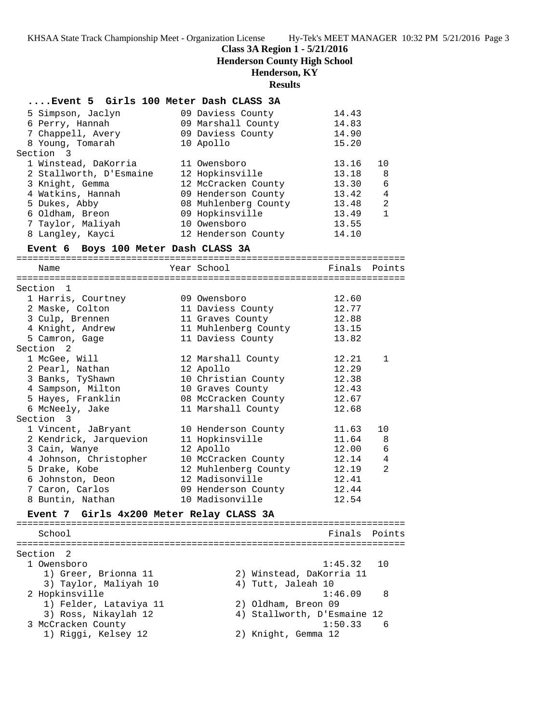**Class 3A Region 1 - 5/21/2016**

**Henderson County High School**

#### **Henderson, KY**

#### **Results**

### **....Event 5 Girls 100 Meter Dash CLASS 3A**

| 5 Simpson, Jaclyn       | 09 Daviess County    | 14.43 |              |
|-------------------------|----------------------|-------|--------------|
|                         |                      |       |              |
| 6 Perry, Hannah         | 09 Marshall County   | 14.83 |              |
| 7 Chappell, Avery       | 09 Daviess County    | 14.90 |              |
| 8 Young, Tomarah        | 10 Apollo            | 15.20 |              |
| Section 3               |                      |       |              |
| 1 Winstead, DaKorria    | 11 Owensboro         | 13.16 | 10           |
| 2 Stallworth, D'Esmaine | 12 Hopkinsville      | 13.18 | -8           |
| 3 Knight, Gemma         | 12 McCracken County  | 13.30 | 6            |
| 4 Watkins, Hannah       | 09 Henderson County  | 13.42 | 4            |
| 5 Dukes, Abby           | 08 Muhlenberg County | 13.48 | 2            |
| 6 Oldham, Breon         | 09 Hopkinsville      | 13.49 | $\mathbf{1}$ |
| 7 Taylor, Maliyah       | 10 Owensboro         | 13.55 |              |
| 8 Langley, Kayci        | 12 Henderson County  | 14.10 |              |
|                         |                      |       |              |

### **Event 6 Boys 100 Meter Dash CLASS 3A**

### ======================================================================= Name Tear School Tear School Finals Points ======================================================================= Section 1 1 Harris, Courtney 09 Owensboro 12.60 2 Maske, Colton 11 Daviess County 12.77 3 Culp, Brennen 11 Graves County 12.88 4 Knight, Andrew 11 Muhlenberg County 13.15 5 Camron, Gage 11 Daviess County 13.82 Section 2 1 McGee, Will 12 Marshall County 12.21 1 2 Pearl, Nathan 12 Apollo 12.29 3 Banks, TyShawn 10 Christian County 12.38 4 Sampson, Milton 10 Graves County 12.43 5 Hayes, Franklin 08 McCracken County 12.67 6 McNeely, Jake 11 Marshall County 12.68 Section 3 1 Vincent, JaBryant 10 Henderson County 11.63 10 2 Kendrick, Jarquevion 11 Hopkinsville 11.64 8 3 Cain, Wanye 12 Apollo 12.00 6 4 Johnson, Christopher 10 McCracken County 12.14 4 5 Drake, Kobe 12 Muhlenberg County 12.19 2 6 Johnston, Deon 12 Madisonville 12.41 7 Caron, Carlos 09 Henderson County 12.44 8 Buntin, Nathan 10 Madisonville 12.54 **Event 7 Girls 4x200 Meter Relay CLASS 3A** ======================================================================= School **Finals Points**

======================================================================= Section 2 1 Owensboro 1:45.32 10 1) Greer, Brionna 11 2) Winstead, DaKorria 11 3) Taylor, Maliyah 10  $\hskip1cm$  4) Tutt, Jaleah 10 2 Hopkinsville 1:46.09 8 1) Felder, Lataviya 11 2) Oldham, Breon 09 3) Ross, Nikaylah 12 4) Stallworth, D'Esmaine 12 3 McCracken County 1:50.33 6 1) Riggi, Kelsey 12 2) Knight, Gemma 12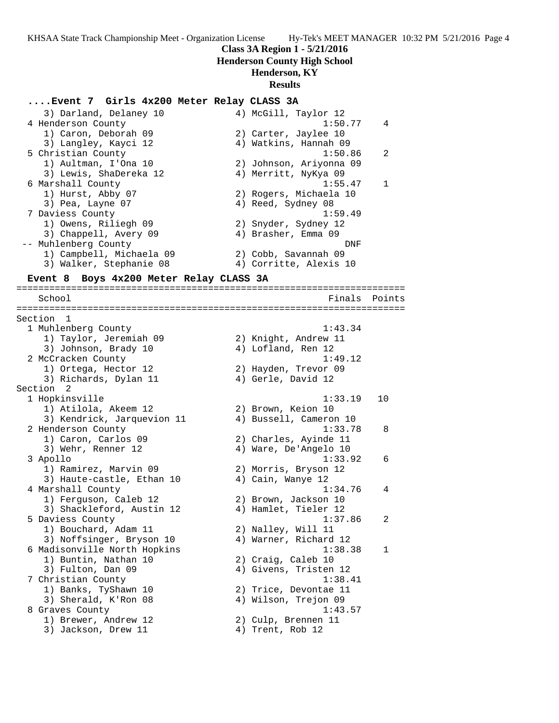### **Class 3A Region 1 - 5/21/2016**

**Henderson County High School**

### **Henderson, KY**

### **Results**

#### **....Event 7 Girls 4x200 Meter Relay CLASS 3A**

| 3) Darland, Delaney 10   | 4) McGill, Taylor 12    |                |
|--------------------------|-------------------------|----------------|
| 4 Henderson County       | 1:50.77                 | $\overline{4}$ |
| 1) Caron, Deborah 09     | 2) Carter, Jaylee 10    |                |
| 3) Langley, Kayci 12     | 4) Watkins, Hannah 09   |                |
| 5 Christian County       | 1:50.86                 | 2              |
| 1) Aultman, I'Ona 10     | 2) Johnson, Ariyonna 09 |                |
| 3) Lewis, ShaDereka 12   | 4) Merritt, NyKya 09    |                |
| 6 Marshall County        | 1:55.47                 | $\mathbf{1}$   |
| 1) Hurst, Abby 07        | 2) Rogers, Michaela 10  |                |
| 3) Pea, Layne 07         | 4) Reed, Sydney 08      |                |
| 7 Daviess County         | 1:59.49                 |                |
| 1) Owens, Riliegh 09     | 2) Snyder, Sydney 12    |                |
| 3) Chappell, Avery 09    | 4) Brasher, Emma 09     |                |
| -- Muhlenberg County     | DNF                     |                |
| 1) Campbell, Michaela 09 | 2) Cobb, Savannah 09    |                |
| 3) Walker, Stephanie 08  | 4) Corritte, Alexis 10  |                |

=======================================================================

#### **Event 8 Boys 4x200 Meter Relay CLASS 3A**

 School Finals Points ======================================================================= Section 1<br>1 Muhlenberg County 1 Muhlenberg County 1:43.34 1) Taylor, Jeremiah 09 2) Knight, Andrew 11 3) Johnson, Brady 10 (4) Lofland, Ren 12 2 McCracken County 1:49.12 1) Ortega, Hector 12 2) Hayden, Trevor 09 3) Richards, Dylan 11 (4) Gerle, David 12 Section 2 1 Hopkinsville 1:33.19 10 1) Atilola, Akeem 12 2) Brown, Keion 10 3) Kendrick, Jarquevion 11 4) Bussell, Cameron 10 2 Henderson County 1:33.78 8 1) Caron, Carlos 09 2) Charles, Ayinde 11 3) Wehr, Renner 12 4) Ware, De'Angelo 10 3 Apollo 1:33.92 6 1) Ramirez, Marvin 09 2) Morris, Bryson 12 3) Haute-castle, Ethan 10  $\hskip1cm 4)$  Cain, Wanye 12 4 Marshall County 1:34.76 4 1) Ferguson, Caleb 12 2) Brown, Jackson 10 3) Shackleford, Austin 12 4) Hamlet, Tieler 12 5 Daviess County 1:37.86 2 1) Bouchard, Adam 11 2) Nalley, Will 11 3) Noffsinger, Bryson 10 4) Warner, Richard 12 6 Madisonville North Hopkins 1:38.38 1 1) Buntin, Nathan 10 2) Craig, Caleb 10 3) Fulton, Dan 09 30 4) Givens, Tristen 12 7 Christian County 1:38.41 1) Banks, TyShawn 10 2) Trice, Devontae 11 3) Sherald, K'Ron 08 (4) Wilson, Trejon 09 8 Graves County 2012 1:43.57 1) Brewer, Andrew 12 2) Culp, Brennen 11 3) Jackson, Drew 11 4) Trent, Rob 12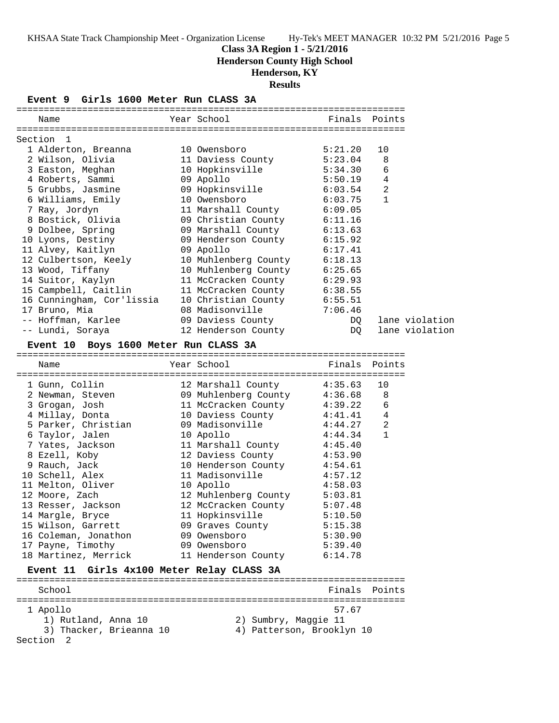**Class 3A Region 1 - 5/21/2016**

**Henderson County High School**

# **Henderson, KY**

**Results**

**Event 9 Girls 1600 Meter Run CLASS 3A**

| Name                                      | Year School                     | Finals Points |                                  |                |
|-------------------------------------------|---------------------------------|---------------|----------------------------------|----------------|
|                                           |                                 |               |                                  |                |
| Section<br>1                              |                                 |               |                                  |                |
| 1 Alderton, Breanna                       | 10 Owensboro                    | 5:21.20       | 10                               |                |
| 2 Wilson, Olivia                          | 11 Daviess County               | 5:23.04       | 8                                |                |
| 3 Easton, Meghan                          | 10 Hopkinsville                 | 5:34.30       | 6                                |                |
| 4 Roberts, Sammi                          | 09 Apollo                       | 5:50.19       | $\overline{4}$<br>$\overline{2}$ |                |
| 5 Grubbs, Jasmine                         | 09 Hopkinsville<br>10 Owensboro | 6:03.54       | $\mathbf{1}$                     |                |
| 6 Williams, Emily                         |                                 | 6:03.75       |                                  |                |
| 7 Ray, Jordyn                             | 11 Marshall County              | 6:09.05       |                                  |                |
| 8 Bostick, Olivia                         | 09 Christian County 6:11.16     |               |                                  |                |
| 9 Dolbee, Spring                          | 09 Marshall County              | 6:13.63       |                                  |                |
| 10 Lyons, Destiny                         | 09 Henderson County             | 6:15.92       |                                  |                |
| 11 Alvey, Kaitlyn                         | 09 Apollo                       | 6:17.41       |                                  |                |
| 12 Culbertson, Keely                      | 10 Muhlenberg County 6:18.13    |               |                                  |                |
| 13 Wood, Tiffany                          | 10 Muhlenberg County 6:25.65    |               |                                  |                |
| 14 Suitor, Kaylyn                         | 11 McCracken County             | 6:29.93       |                                  |                |
| 15 Campbell, Caitlin                      | 11 McCracken County             | 6:38.55       |                                  |                |
| 16 Cunningham, Cor'lissia                 | 10 Christian County             | 6:55.51       |                                  |                |
| 17 Bruno, Mia                             | 08 Madisonville                 | 7:06.46       |                                  |                |
| -- Hoffman, Karlee                        | 09 Daviess County               | DQ            |                                  | lane violation |
| -- Lundi, Soraya                          | 12 Henderson County             | DQ            |                                  | lane violation |
| Event 10 Boys 1600 Meter Run CLASS 3A     |                                 |               |                                  |                |
|                                           | Year School                     | Finals Points |                                  |                |
| Name                                      |                                 |               |                                  |                |
| 1 Gunn, Collin                            | 12 Marshall County              | 4:35.63       | 10                               |                |
| 2 Newman, Steven                          | 09 Muhlenberg County 4:36.68    |               | 8                                |                |
| 3 Grogan, Josh                            | 11 McCracken County             | 4:39.22       | 6                                |                |
| 4 Millay, Donta                           | 10 Daviess County               | 4:41.41       | $\overline{4}$                   |                |
| 5 Parker, Christian                       | 09 Madisonville                 | 4:44.27       | $\overline{2}$                   |                |
| 6 Taylor, Jalen                           | 10 Apollo                       | 4:44.34       | $\mathbf{1}$                     |                |
| 7 Yates, Jackson                          | 11 Marshall County              | 4:45.40       |                                  |                |
| 8 Ezell, Koby                             | 12 Daviess County               | 4:53.90       |                                  |                |
| 9 Rauch, Jack                             | 10 Henderson County             | 4:54.61       |                                  |                |
| 10 Schell, Alex                           | 11 Madisonville                 | 4:57.12       |                                  |                |
| 11 Melton, Oliver                         | 10 Apollo                       | 4:58.03       |                                  |                |
| 12 Moore, Zach                            | 12 Muhlenberg County 5:03.81    |               |                                  |                |
| 13 Resser, Jackson                        | 12 McCracken County             | 5:07.48       |                                  |                |
| 14 Margle, Bryce                          | 11 Hopkinsville                 | 5:10.50       |                                  |                |
| 15 Wilson, Garrett                        | 09 Graves County                | 5:15.38       |                                  |                |
| 16 Coleman, Jonathon                      | 09 Owensboro                    | 5:30.90       |                                  |                |
| 17 Payne, Timothy                         | 09 Owensboro                    | 5:39.40       |                                  |                |
| 18 Martinez, Merrick                      | 11 Henderson County             | 6:14.78       |                                  |                |
|                                           |                                 |               |                                  |                |
| Event 11 Girls 4x100 Meter Relay CLASS 3A |                                 |               |                                  |                |
| School                                    |                                 | Finals        | Points                           |                |
|                                           |                                 |               |                                  |                |
| 1 Apollo                                  |                                 | 57.67         |                                  |                |
| 1) Rutland, Anna 10                       | 2) Sumbry, Maggie 11            |               |                                  |                |
| 3) Thacker, Brieanna 10                   | 4) Patterson, Brooklyn 10       |               |                                  |                |
| Section<br>- 2                            |                                 |               |                                  |                |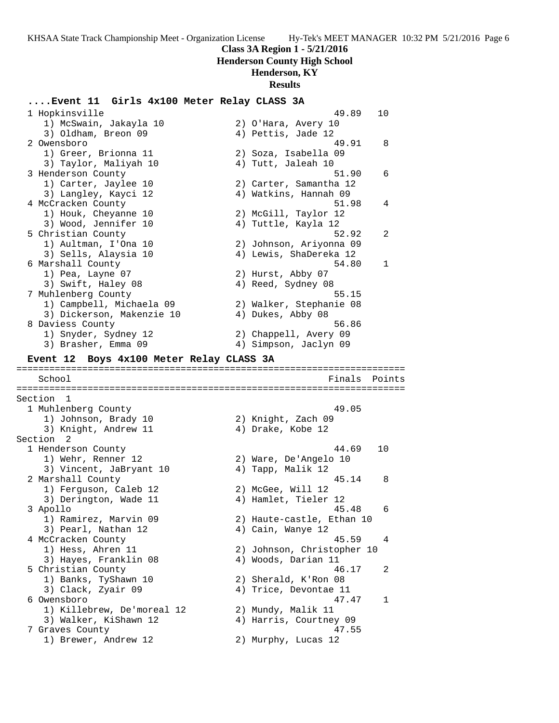**Class 3A Region 1 - 5/21/2016**

**Henderson County High School**

### **Henderson, KY**

#### **Results**

### **....Event 11 Girls 4x100 Meter Relay CLASS 3A**

 1 Hopkinsville 49.89 10 1) McSwain, Jakayla 10 2) O'Hara, Avery 10 3) Oldham, Breon 09 (4) Pettis, Jade 12 2 Owensboro 49.91 8 1) Greer, Brionna 11 2) Soza, Isabella 09 3) Taylor, Maliyah 10  $\hskip1cm$  4) Tutt, Jaleah 10 3 Henderson County 51.90 6 1) Carter, Jaylee 10 2) Carter, Samantha 12 3) Langley, Kayci 12 4) Watkins, Hannah 09 4 McCracken County 51.98 4 1) Houk, Cheyanne 10 2) McGill, Taylor 12 3) Wood, Jennifer 10 (4) Tuttle, Kayla 12 5 Christian County 52.92 2 1) Aultman, I'Ona 10 2) Johnson, Ariyonna 09 3) Sells, Alaysia 10 4) Lewis, ShaDereka 12 6 Marshall County 54.80 1 1) Pea, Layne 07 2) Hurst, Abby 07 3) Swift, Haley 08 4) Reed, Sydney 08 7 Muhlenberg County 55.15 1) Campbell, Michaela 09 2) Walker, Stephanie 08 3) Dickerson, Makenzie 10 (4) Dukes, Abby 08 8 Daviess County 56.86 1) Snyder, Sydney 12 2) Chappell, Avery 09 3) Brasher, Emma 09 4) Simpson, Jaclyn 09 **Event 12 Boys 4x100 Meter Relay CLASS 3A** ======================================================================= School **Finals Points** ======================================================================= Section 1 1 Muhlenberg County 49.05 1) Johnson, Brady 10 2) Knight, Zach 09 3) Knight, Andrew 11 4) Drake, Kobe 12 Section 2<br>1 Henderson County 1 Henderson County 44.69 10 1) Wehr, Renner 12 2) Ware, De'Angelo 10 3) Vincent, JaBryant 10  $\hskip1cm$  4) Tapp, Malik 12 2 Marshall County 45.14 8 1) Ferguson, Caleb 12 2) McGee, Will 12 3) Derington, Wade 11 (4) Hamlet, Tieler 12 3 Apollo 45.48 6 1) Ramirez, Marvin 09 2) Haute-castle, Ethan 10 3) Pearl, Nathan 12  $\hskip1cm$  4) Cain, Wanye 12 4 McCracken County 45.59 4 1) Hess, Ahren 11 2) Johnson, Christopher 10 3) Hayes, Franklin 08 (4) Woods, Darian 11 5 Christian County 46.17 2 1) Banks, TyShawn 10 2) Sherald, K'Ron 08 3) Clack, Zyair 09 4) Trice, Devontae 11 6 Owensboro 47.47 1 1) Killebrew, De'moreal 12 2) Mundy, Malik 11 3) Walker, KiShawn 12 4) Harris, Courtney 09 7 Graves County 47.55 1) Brewer, Andrew 12 2) Murphy, Lucas 12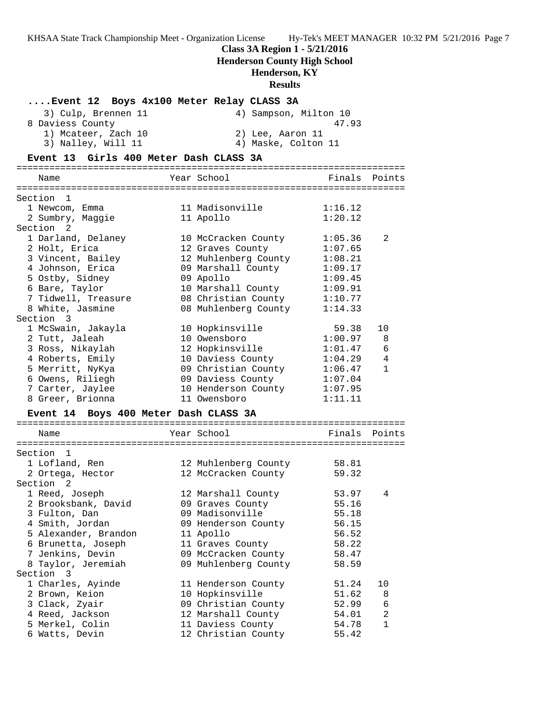# **Class 3A Region 1 - 5/21/2016**

**Henderson County High School**

# **Henderson, KY**

# **Results**

| Event 12 Boys 4x100 Meter Relay CLASS 3A |                       |                    |                |
|------------------------------------------|-----------------------|--------------------|----------------|
| 3) Culp, Brennen 11                      | 4) Sampson, Milton 10 |                    |                |
| 8 Daviess County                         |                       | 47.93              |                |
| 1) Mcateer, Zach 10                      | 2) Lee, Aaron 11      |                    |                |
| 3) Nalley, Will 11                       | 4) Maske, Colton 11   |                    |                |
| Event 13 Girls 400 Meter Dash CLASS 3A   |                       |                    |                |
|                                          |                       |                    |                |
| Name                                     | Year School           | Finals Points      |                |
|                                          |                       |                    |                |
| Section 1                                |                       |                    |                |
| 1 Newcom, Emma<br>2 Sumbry, Maggie       | 11 Madisonville       | 1:16.12<br>1:20.12 |                |
| Section 2                                | 11 Apollo             |                    |                |
| 1 Darland, Delaney                       | 10 McCracken County   | 1:05.36            | 2              |
| 2 Holt, Erica                            | 12 Graves County      | 1:07.65            |                |
| 3 Vincent, Bailey                        | 12 Muhlenberg County  | 1:08.21            |                |
| 4 Johnson, Erica                         | 09 Marshall County    | 1:09.17            |                |
| 5 Ostby, Sidney                          | 09 Apollo             | 1:09.45            |                |
| 6 Bare, Taylor                           | 10 Marshall County    | 1:09.91            |                |
| 7 Tidwell, Treasure                      | 08 Christian County   | 1:10.77            |                |
| 8 White, Jasmine                         | 08 Muhlenberg County  | 1:14.33            |                |
| Section 3                                |                       |                    |                |
| 1 McSwain, Jakayla                       | 10 Hopkinsville       | 59.38              | 10             |
| 2 Tutt, Jaleah                           | 10 Owensboro          | 1:00.97            | 8              |
| 3 Ross, Nikaylah                         | 12 Hopkinsville       | 1:01.47            | 6              |
| 4 Roberts, Emily                         | 10 Daviess County     | 1:04.29            | $\overline{4}$ |
| 5 Merritt, NyKya                         | 09 Christian County   | 1:06.47            | $\mathbf{1}$   |
| 6 Owens, Riliegh                         | 09 Daviess County     | 1:07.04            |                |
| 7 Carter, Jaylee                         | 10 Henderson County   | 1:07.95            |                |
| 8 Greer, Brionna                         | 11 Owensboro          | 1:11.11            |                |
| Event 14 Boys 400 Meter Dash CLASS 3A    |                       |                    |                |
|                                          |                       |                    |                |
| Name                                     | Year School           | Finals Points      |                |
|                                          |                       |                    |                |
| Section 1                                |                       |                    |                |
| 1 Lofland, Ren                           | 12 Muhlenberg County  | 58.81              |                |
| 2 Ortega, Hector                         | 12 McCracken County   | 59.32              |                |
| Section <sub>2</sub>                     |                       |                    |                |
| 1 Reed, Joseph                           | 12 Marshall County    | 53.97              | 4              |
| 2 Brooksbank, David                      | 09 Graves County      | 55.16              |                |
| 3 Fulton, Dan                            | 09 Madisonville       | 55.18              |                |
| 4 Smith, Jordan                          | 09 Henderson County   | 56.15              |                |
| 5 Alexander, Brandon                     | 11 Apollo             | 56.52              |                |
| 6 Brunetta, Joseph                       | 11 Graves County      | 58.22              |                |
| 7 Jenkins, Devin                         | 09 McCracken County   | 58.47              |                |
| 8 Taylor, Jeremiah                       | 09 Muhlenberg County  | 58.59              |                |
| Section 3                                |                       |                    |                |
| 1 Charles, Ayinde                        | 11 Henderson County   | 51.24              | 10             |
| 2 Brown, Keion                           | 10 Hopkinsville       | 51.62              | 8              |
| 3 Clack, Zyair                           | 09 Christian County   | 52.99              | 6              |
| 4 Reed, Jackson                          | 12 Marshall County    | 54.01              | 2              |
| 5 Merkel, Colin                          | 11 Daviess County     | 54.78              | 1              |
| 6 Watts, Devin                           | 12 Christian County   | 55.42              |                |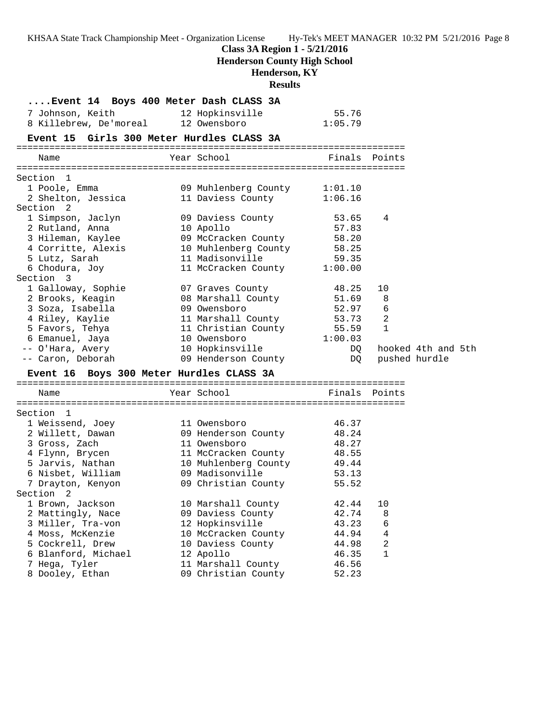KHSAA State Track Championship Meet - Organization License Hy-Tek's MEET MANAGER 10:32 PM 5/21/2016 Page 8 **Class 3A Region 1 - 5/21/2016 Henderson County High School Henderson, KY Results ....Event 14 Boys 400 Meter Dash CLASS 3A** 7 Johnson, Keith 12 Hopkinsville 55.76 8 Killebrew, De'moreal 12 Owensboro 1:05.79 **Event 15 Girls 300 Meter Hurdles CLASS 3A** ======================================================================= Name The Year School The Finals Points ======================================================================= Section 1 1 Poole, Emma 09 Muhlenberg County 1:01.10 2 Shelton, Jessica 11 Daviess County 1:06.16 Section 2 1 Simpson, Jaclyn 09 Daviess County 53.65 4 2 Rutland, Anna 10 Apollo 57.83 3 Hileman, Kaylee 09 McCracken County 58.20 4 Corritte, Alexis 10 Muhlenberg County 58.25 5 Lutz, Sarah 11 Madisonville 59.35 6 Chodura, Joy 11 McCracken County 1:00.00 Section 3 1 Galloway, Sophie 07 Graves County 48.25 10 2 Brooks, Keagin 08 Marshall County 51.69 8 3 Soza, Isabella 09 Owensboro 52.97 6 4 Riley, Kaylie 11 Marshall County 53.73 2 5 Favors, Tehya 11 Christian County 55.59 1 6 Emanuel, Jaya 10 Owensboro 1:00.03 -- O'Hara, Avery 10 Hopkinsville DQ hooked 4th and 5th -- Caron, Deborah 09 Henderson County DQ pushed hurdle **Event 16 Boys 300 Meter Hurdles CLASS 3A** ======================================================================= Name The Year School The Finals Points ======================================================================= Section 1 1 Weissend, Joey 11 Owensboro 46.37 2 Willett, Dawan 09 Henderson County 48.24 3 Gross, Zach 11 Owensboro 48.27 4 Flynn, Brycen 11 McCracken County 48.55 5 Jarvis, Nathan 10 Muhlenberg County 49.44 6 Nisbet, William 09 Madisonville 53.13 7 Drayton, Kenyon 09 Christian County 55.52 Section 2 1 Brown, Jackson 10 Marshall County 42.44 10 2 Mattingly, Nace 09 Daviess County 42.74 8 3 Miller, Tra-von 12 Hopkinsville 43.23 6 4 Moss, McKenzie 10 McCracken County 44.94 4 5 Cockrell, Drew 10 Daviess County 44.98 2 6 Blanford, Michael 12 Apollo 46.35 1 7 Hega, Tyler 11 Marshall County 46.56 8 Dooley, Ethan 09 Christian County 52.23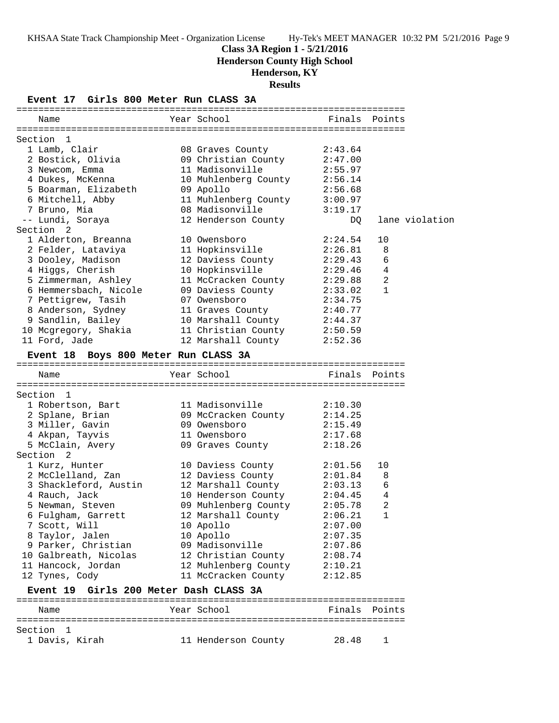### **Class 3A Region 1 - 5/21/2016**

**Henderson County High School**

### **Henderson, KY**

**Results**

**Event 17 Girls 800 Meter Run CLASS 3A**

| Name                                   | Year School                  |         | Finals Points  |
|----------------------------------------|------------------------------|---------|----------------|
|                                        |                              |         |                |
| Section 1                              |                              |         |                |
| 1 Lamb, Clair                          | 08 Graves County             | 2:43.64 |                |
| 2 Bostick, Olivia                      | 09 Christian County 2:47.00  |         |                |
| 3 Newcom, Emma                         | 11 Madisonville              | 2:55.97 |                |
| 4 Dukes, McKenna                       | 10 Muhlenberg County 2:56.14 |         |                |
| 5 Boarman, Elizabeth                   | 09 Apollo                    | 2:56.68 |                |
| 6 Mitchell, Abby                       | 11 Muhlenberg County         | 3:00.97 |                |
| 7 Bruno, Mia                           | 08 Madisonville              | 3:19.17 |                |
| -- Lundi, Soraya                       | 12 Henderson County          | DQ.     | lane violation |
| Section 2                              |                              |         |                |
| 1 Alderton, Breanna                    | 10 Owensboro                 | 2:24.54 | 10             |
| 2 Felder, Lataviya                     | 11 Hopkinsville              | 2:26.81 | 8              |
| 3 Dooley, Madison                      | 12 Daviess County            | 2:29.43 | 6              |
| 4 Higgs, Cherish                       | 10 Hopkinsville              | 2:29.46 | 4              |
| 5 Zimmerman, Ashley                    | 11 McCracken County 2:29.88  |         | 2              |
| 6 Hemmersbach, Nicole                  | 09 Daviess County            | 2:33.02 | $\mathbf{1}$   |
| 7 Pettigrew, Tasih                     | 07 Owensboro                 | 2:34.75 |                |
| 8 Anderson, Sydney                     | 11 Graves County             | 2:40.77 |                |
| 9 Sandlin, Bailey                      | 10 Marshall County           | 2:44.37 |                |
| 10 Mcgregory, Shakia                   | 11 Christian County          | 2:50.59 |                |
| 11 Ford, Jade                          | 12 Marshall County           | 2:52.36 |                |
| Event 18 Boys 800 Meter Run CLASS 3A   |                              |         |                |
| Name                                   | Year School                  |         | Finals Points  |
|                                        |                              |         |                |
| Section<br>$\mathbf{1}$                |                              |         |                |
| 1 Robertson, Bart                      | 11 Madisonville              | 2:10.30 |                |
| 2 Splane, Brian                        | 09 McCracken County          | 2:14.25 |                |
| 3 Miller, Gavin                        | 09 Owensboro                 | 2:15.49 |                |
| 4 Akpan, Tayvis                        | 11 Owensboro                 | 2:17.68 |                |
| 5 McClain, Avery                       | 09 Graves County             | 2:18.26 |                |
| Section <sub>2</sub>                   |                              |         |                |
| 1 Kurz, Hunter                         | 10 Daviess County            | 2:01.56 | 10             |
| 2 McClelland, Zan                      | 12 Daviess County            | 2:01.84 | 8              |
| 3 Shackleford, Austin                  | 12 Marshall County           | 2:03.13 | 6              |
| 4 Rauch, Jack                          | 10 Henderson County          | 2:04.45 | 4              |
| 5 Newman, Steven                       | 09 Muhlenberg County         | 2:05.78 | 2              |
| 6 Fulgham, Garrett                     | 12 Marshall County           | 2:06.21 | 1              |
| 7 Scott, Will                          | 10 Apollo                    | 2:07.00 |                |
| 8 Taylor, Jalen                        | 10 Apollo                    | 2:07.35 |                |
| 9 Parker, Christian                    | 09 Madisonville              | 2:07.86 |                |
| 10 Galbreath, Nicolas                  | 12 Christian County          | 2:08.74 |                |
| 11 Hancock, Jordan                     | 12 Muhlenberg County         | 2:10.21 |                |
| 12 Tynes, Cody                         | 11 McCracken County          | 2:12.85 |                |
| Event 19 Girls 200 Meter Dash CLASS 3A |                              |         |                |
| Name                                   | Year School                  | Finals  | Points         |
|                                        |                              |         |                |
| Section<br>- 1                         |                              |         |                |
| 1 Davis, Kirah                         | 11 Henderson County          | 28.48   | ı              |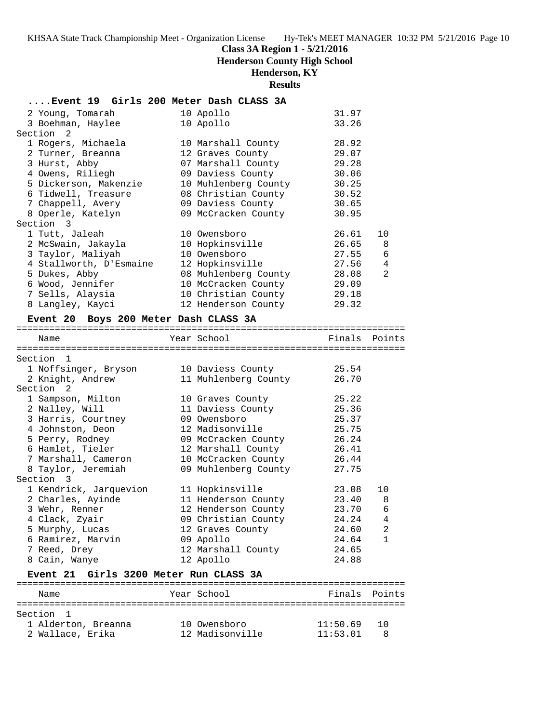### **Class 3A Region 1 - 5/21/2016**

**Henderson County High School**

# **Henderson, KY**

**Results**

### **....Event 19 Girls 200 Meter Dash CLASS 3A**

|                                                                                                                                                                                                                                                                                                                                                                                                                | 31.97                                                                                                                                                                                                                                                                                                                                                                     |                |
|----------------------------------------------------------------------------------------------------------------------------------------------------------------------------------------------------------------------------------------------------------------------------------------------------------------------------------------------------------------------------------------------------------------|---------------------------------------------------------------------------------------------------------------------------------------------------------------------------------------------------------------------------------------------------------------------------------------------------------------------------------------------------------------------------|----------------|
|                                                                                                                                                                                                                                                                                                                                                                                                                | 33.26                                                                                                                                                                                                                                                                                                                                                                     |                |
|                                                                                                                                                                                                                                                                                                                                                                                                                |                                                                                                                                                                                                                                                                                                                                                                           |                |
|                                                                                                                                                                                                                                                                                                                                                                                                                | 28.92                                                                                                                                                                                                                                                                                                                                                                     |                |
|                                                                                                                                                                                                                                                                                                                                                                                                                | 29.07                                                                                                                                                                                                                                                                                                                                                                     |                |
|                                                                                                                                                                                                                                                                                                                                                                                                                | 29.28                                                                                                                                                                                                                                                                                                                                                                     |                |
|                                                                                                                                                                                                                                                                                                                                                                                                                | 30.06                                                                                                                                                                                                                                                                                                                                                                     |                |
|                                                                                                                                                                                                                                                                                                                                                                                                                | 30.25                                                                                                                                                                                                                                                                                                                                                                     |                |
|                                                                                                                                                                                                                                                                                                                                                                                                                | 30.52                                                                                                                                                                                                                                                                                                                                                                     |                |
|                                                                                                                                                                                                                                                                                                                                                                                                                | 30.65                                                                                                                                                                                                                                                                                                                                                                     |                |
|                                                                                                                                                                                                                                                                                                                                                                                                                | 30.95                                                                                                                                                                                                                                                                                                                                                                     |                |
|                                                                                                                                                                                                                                                                                                                                                                                                                |                                                                                                                                                                                                                                                                                                                                                                           |                |
|                                                                                                                                                                                                                                                                                                                                                                                                                | 26.61                                                                                                                                                                                                                                                                                                                                                                     | 10             |
|                                                                                                                                                                                                                                                                                                                                                                                                                | 26.65                                                                                                                                                                                                                                                                                                                                                                     | 8 <sup>8</sup> |
|                                                                                                                                                                                                                                                                                                                                                                                                                | 27.55                                                                                                                                                                                                                                                                                                                                                                     | 6              |
|                                                                                                                                                                                                                                                                                                                                                                                                                | 27.56                                                                                                                                                                                                                                                                                                                                                                     | 4              |
|                                                                                                                                                                                                                                                                                                                                                                                                                | 28.08                                                                                                                                                                                                                                                                                                                                                                     | $\overline{2}$ |
|                                                                                                                                                                                                                                                                                                                                                                                                                | 29.09                                                                                                                                                                                                                                                                                                                                                                     |                |
|                                                                                                                                                                                                                                                                                                                                                                                                                | 29.18                                                                                                                                                                                                                                                                                                                                                                     |                |
|                                                                                                                                                                                                                                                                                                                                                                                                                | 29.32                                                                                                                                                                                                                                                                                                                                                                     |                |
| 2 Young, Tomarah<br>3 Boehman, Haylee<br>Section 2<br>1 Rogers, Michaela<br>2 Turner, Breanna<br>3 Hurst, Abby<br>4 Owens, Riliegh<br>5 Dickerson, Makenzie<br>6 Tidwell, Treasure<br>7 Chappell, Avery<br>8 Operle, Katelyn<br>Section 3<br>1 Tutt, Jaleah<br>2 McSwain, Jakayla<br>3 Taylor, Maliyah<br>4 Stallworth, D'Esmaine<br>5 Dukes, Abby<br>6 Wood, Jennifer<br>7 Sells, Alaysia<br>8 Langley, Kayci | 10 Apollo<br>10 Apollo<br>10 Marshall County<br>12 Graves County<br>07 Marshall County<br>09 Daviess County<br>10 Muhlenberg County<br>08 Christian County<br>09 Daviess County<br>09 McCracken County<br>10 Owensboro<br>10 Hopkinsville<br>10 Owensboro<br>12 Hopkinsville<br>08 Muhlenberg County<br>10 McCracken County<br>10 Christian County<br>12 Henderson County |                |

### **Event 20 Boys 200 Meter Dash CLASS 3A**

=======================================================================

| Name                                      | Year School          | Finals Points |                |
|-------------------------------------------|----------------------|---------------|----------------|
|                                           |                      |               |                |
| Section 1                                 |                      |               |                |
| 1 Noffsinger, Bryson                      | 10 Daviess County    | 25.54         |                |
| 2 Knight, Andrew                          | 11 Muhlenberg County | 26.70         |                |
| Section <sub>2</sub>                      |                      |               |                |
| 1 Sampson, Milton                         | 10 Graves County     | 25.22         |                |
| 2 Nalley, Will                            | 11 Daviess County    | 25.36         |                |
| 3 Harris, Courtney                        | 09 Owensboro         | 25.37         |                |
| 4 Johnston, Deon                          | 12 Madisonville      | 25.75         |                |
| 5 Perry, Rodney                           | 09 McCracken County  | 26.24         |                |
| 6 Hamlet, Tieler                          | 12 Marshall County   | 26.41         |                |
| 7 Marshall, Cameron                       | 10 McCracken County  | 26.44         |                |
| 8 Taylor, Jeremiah                        | 09 Muhlenberg County | 27.75         |                |
| Section 3                                 |                      |               |                |
| 1 Kendrick, Jarquevion                    | 11 Hopkinsville      | 23.08         | 10             |
| 2 Charles, Ayinde                         | 11 Henderson County  | 23.40         | 8              |
| 3 Wehr, Renner                            | 12 Henderson County  | 23.70         | 6              |
| 4 Clack, Zyair                            | 09 Christian County  | 24.24         | $\overline{4}$ |
| 5 Murphy, Lucas                           | 12 Graves County     | 24.60         | $\overline{2}$ |
| 6 Ramirez, Marvin                         | 09 Apollo            | 24.64         | $\mathbf{1}$   |
| 7 Reed, Drey                              | 12 Marshall County   | 24.65         |                |
| 8 Cain, Wanye                             | 12 Apollo            | 24.88         |                |
| Girls 3200 Meter Run CLASS 3A<br>Event 21 |                      |               |                |
|                                           |                      |               |                |

| Name                | Year School     | Finals Points      |
|---------------------|-----------------|--------------------|
| Section 1           |                 |                    |
| 1 Alderton, Breanna | 10 Owensboro    | 11:50.69<br>່ 1 ປີ |
| 2 Wallace, Erika    | 12 Madisonville | 11:53.01           |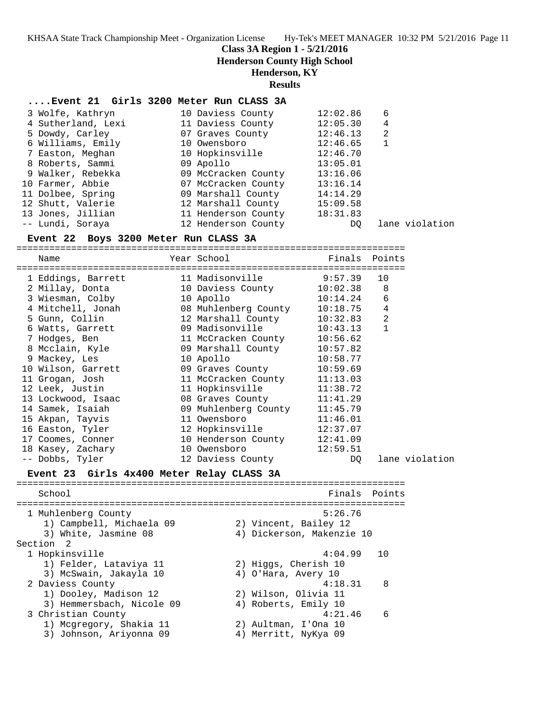**Class 3A Region 1 - 5/21/2016**

**Henderson County High School**

### **Henderson, KY**

#### **Results**

#### **....Event 21 Girls 3200 Meter Run CLASS 3A**

| 3 Wolfe, Kathryn   | 10 Daviess County   | 12:02.86 | 6 |                |
|--------------------|---------------------|----------|---|----------------|
| 4 Sutherland, Lexi | 11 Daviess County   | 12:05.30 | 4 |                |
| 5 Dowdy, Carley    | 07 Graves County    | 12:46.13 | 2 |                |
| 6 Williams, Emily  | 10 Owensboro        | 12:46.65 |   |                |
| 7 Easton, Meghan   | 10 Hopkinsville     | 12:46.70 |   |                |
| 8 Roberts, Sammi   | 09 Apollo           | 13:05.01 |   |                |
| 9 Walker, Rebekka  | 09 McCracken County | 13:16.06 |   |                |
| 10 Farmer, Abbie   | 07 McCracken County | 13:16.14 |   |                |
| 11 Dolbee, Spring  | 09 Marshall County  | 14:14.29 |   |                |
| 12 Shutt, Valerie  | 12 Marshall County  | 15:09.58 |   |                |
| 13 Jones, Jillian  | 11 Henderson County | 18:31.83 |   |                |
| -- Lundi, Soraya   | 12 Henderson County | DO.      |   | lane violation |

#### **Event 22 Boys 3200 Meter Run CLASS 3A**

=======================================================================

| Name                                      | Year School                                                            | Finals Points             |                |
|-------------------------------------------|------------------------------------------------------------------------|---------------------------|----------------|
|                                           | -------------------<br>1 Eddings, Barrett 11 Madisonville 9:57.39      |                           | 10             |
|                                           | 2 Millay, Donta               10 Daviess County         10:02.38     8 |                           |                |
| 3 Wiesman, Colby                          | 10 Apollo                                                              | 10:14.24                  | 6              |
|                                           | 4 Mitchell, Jonah 08 Muhlenberg County 10:18.75                        |                           | $\overline{4}$ |
| 5 Gunn, Collin                            | 12 Marshall County 10:32.83                                            |                           | $\overline{2}$ |
|                                           | 6 Watts, Garrett (09 Madisonville 10:43.13                             |                           | $\mathbf{1}$   |
| 7 Hodges, Ben                             | 11 McCracken County 10:56.62                                           |                           |                |
|                                           | 8 Mcclain, Kyle 69 Marshall County 10:57.82                            |                           |                |
| 9 Mackey, Les                             | 10 Apollo                                                              | 10:58.77                  |                |
|                                           | 10 Wilson, Garrett 69 Graves County 10:59.69                           |                           |                |
| 11 Grogan, Josh                           | 11 McCracken County 11:13.03                                           |                           |                |
| 12 Leek, Justin                           | 11 Hopkinsville 11:38.72                                               |                           |                |
|                                           | 13 Lockwood, Isaac 68 Graves County 11:41.29                           |                           |                |
| 14 Samek, Isaiah                          | 09 Muhlenberg County 11:45.79                                          |                           |                |
| 15 Akpan, Tayvis                          | 11 Owensboro                                                           | 11:46.01                  |                |
| 16 Easton, Tyler                          | 12 Hopkinsville 12:37.07                                               |                           |                |
| 17 Coomes, Conner                         | 10 Henderson County 12:41.09                                           |                           |                |
| 18 Kasey, Zachary                         | 10 Owensboro                                                           | 12:59.51                  |                |
| -- Dobbs, Tyler                           | 12 Daviess County                                                      | DQ                        | lane violation |
| Event 23 Girls 4x400 Meter Relay CLASS 3A |                                                                        | ========================= |                |

School **Finals Points** ======================================================================= 1 Muhlenberg County 5:26.76 1) Campbell, Michaela 09 2) Vincent, Bailey 12 3) White, Jasmine 08 4) Dickerson, Makenzie 10 Section 2<br>1 Hopkinsville 1 Hopkinsville 4:04.99 10 1) Felder, Lataviya 11 2) Higgs, Cherish 10 3) McSwain, Jakayla 10 4) O'Hara, Avery 10 2 Daviess County 4:18.31 8 1) Dooley, Madison 12 2) Wilson, Olivia 11 3) Hemmersbach, Nicole 09 (4) Roberts, Emily 10 3 Christian County 4:21.46 6 1) Mcgregory, Shakia 11 2) Aultman, I'Ona 10 3) Johnson, Ariyonna 09 4) Merritt, NyKya 09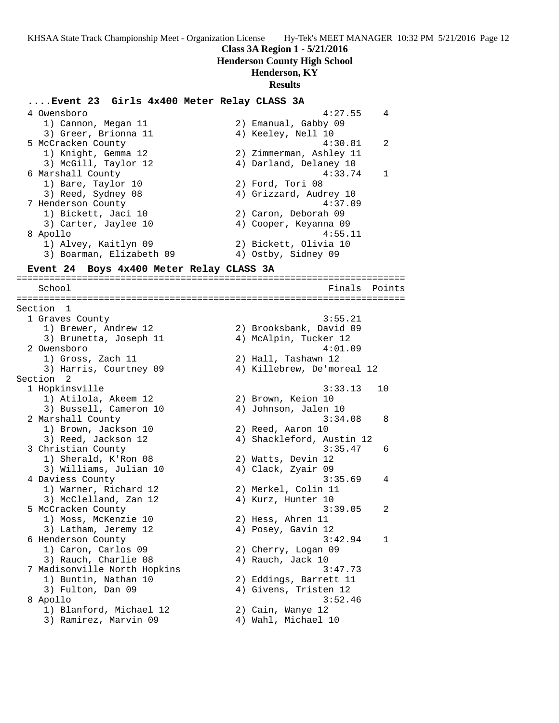### **Class 3A Region 1 - 5/21/2016**

### **Henderson County High School**

# **Henderson, KY**

# **Results**

# **....Event 23 Girls 4x400 Meter Relay CLASS 3A**

| 1) Cannon, Megan 11<br>3) Greer, Brionna 11<br>5 McCracken County<br>1) Knight, Gemma 12<br>3) McGill, Taylor 12<br>6 Marshall County<br>1) Bare, Taylor 10<br>3) Reed, Sydney 08<br>7 Henderson County | 2) Emanual, Gabby 09<br>4) Keeley, Nell 10<br>4:30.81<br>2) Zimmerman, Ashley 11<br>4) Darland, Delaney 10<br>4:33.74<br>2) Ford, Tori 08 | 2<br>1 |
|---------------------------------------------------------------------------------------------------------------------------------------------------------------------------------------------------------|-------------------------------------------------------------------------------------------------------------------------------------------|--------|
|                                                                                                                                                                                                         |                                                                                                                                           |        |
|                                                                                                                                                                                                         |                                                                                                                                           |        |
|                                                                                                                                                                                                         |                                                                                                                                           |        |
|                                                                                                                                                                                                         |                                                                                                                                           |        |
|                                                                                                                                                                                                         |                                                                                                                                           |        |
|                                                                                                                                                                                                         |                                                                                                                                           |        |
|                                                                                                                                                                                                         |                                                                                                                                           |        |
|                                                                                                                                                                                                         | 4) Grizzard, Audrey 10                                                                                                                    |        |
|                                                                                                                                                                                                         | 4:37.09                                                                                                                                   |        |
| 1) Bickett, Jaci 10                                                                                                                                                                                     | 2) Caron, Deborah 09                                                                                                                      |        |
| 3) Carter, Jaylee 10                                                                                                                                                                                    | 4) Cooper, Keyanna 09                                                                                                                     |        |
| 8 Apollo                                                                                                                                                                                                | 4:55.11                                                                                                                                   |        |
| 1) Alvey, Kaitlyn 09                                                                                                                                                                                    | 2) Bickett, Olivia 10                                                                                                                     |        |
| 3) Boarman, Elizabeth 09                                                                                                                                                                                | 4) Ostby, Sidney 09                                                                                                                       |        |
|                                                                                                                                                                                                         |                                                                                                                                           |        |
| Event 24 Boys 4x400 Meter Relay CLASS 3A                                                                                                                                                                |                                                                                                                                           |        |
| School                                                                                                                                                                                                  | Finals                                                                                                                                    | Points |
|                                                                                                                                                                                                         |                                                                                                                                           |        |
| Section<br>1                                                                                                                                                                                            |                                                                                                                                           |        |
| 1 Graves County                                                                                                                                                                                         | 3:55.21                                                                                                                                   |        |
| 1) Brewer, Andrew 12                                                                                                                                                                                    | 2) Brooksbank, David 09                                                                                                                   |        |
| 3) Brunetta, Joseph 11                                                                                                                                                                                  | 4) McAlpin, Tucker 12                                                                                                                     |        |
| 2 Owensboro                                                                                                                                                                                             | 4:01.09                                                                                                                                   |        |
| 1) Gross, Zach 11                                                                                                                                                                                       | 2) Hall, Tashawn 12                                                                                                                       |        |
| 3) Harris, Courtney 09                                                                                                                                                                                  | 4) Killebrew, De'moreal 12                                                                                                                |        |
| Section <sub>2</sub>                                                                                                                                                                                    |                                                                                                                                           |        |
| 1 Hopkinsville                                                                                                                                                                                          | 3:33.13                                                                                                                                   | 10     |
| 1) Atilola, Akeem 12                                                                                                                                                                                    | 2) Brown, Keion 10                                                                                                                        |        |
| 3) Bussell, Cameron 10                                                                                                                                                                                  | 4) Johnson, Jalen 10                                                                                                                      |        |
| 2 Marshall County                                                                                                                                                                                       | 3:34.08                                                                                                                                   | 8      |
| 1) Brown, Jackson 10                                                                                                                                                                                    | 2) Reed, Aaron 10                                                                                                                         |        |
| 3) Reed, Jackson 12                                                                                                                                                                                     | 4) Shackleford, Austin 12                                                                                                                 |        |
| 3 Christian County                                                                                                                                                                                      | 3:35.47                                                                                                                                   | 6      |
| 1) Sherald, K'Ron 08                                                                                                                                                                                    | 2) Watts, Devin 12                                                                                                                        |        |
| 3) Williams, Julian 10                                                                                                                                                                                  | 4) Clack, Zyair 09                                                                                                                        |        |
| 4 Daviess County                                                                                                                                                                                        | 3:35.69                                                                                                                                   | 4      |
| 1) Warner, Richard 12                                                                                                                                                                                   | 2) Merkel, Colin 11                                                                                                                       |        |
| 3) McClelland, Zan 12                                                                                                                                                                                   | 4) Kurz, Hunter 10                                                                                                                        |        |
| 5 McCracken County                                                                                                                                                                                      | 3:39.05                                                                                                                                   | 2      |
| 1) Moss, McKenzie 10                                                                                                                                                                                    | 2) Hess, Ahren 11                                                                                                                         |        |
| 3) Latham, Jeremy 12                                                                                                                                                                                    | 4) Posey, Gavin 12                                                                                                                        |        |
| 6 Henderson County                                                                                                                                                                                      | 3:42.94                                                                                                                                   | 1      |
| 1) Caron, Carlos 09                                                                                                                                                                                     | 2) Cherry, Logan 09                                                                                                                       |        |
| 3) Rauch, Charlie 08                                                                                                                                                                                    | 4) Rauch, Jack 10                                                                                                                         |        |
|                                                                                                                                                                                                         | 3:47.73                                                                                                                                   |        |
| 7 Madisonville North Hopkins                                                                                                                                                                            |                                                                                                                                           |        |
| 1) Buntin, Nathan 10                                                                                                                                                                                    | 2) Eddings, Barrett 11                                                                                                                    |        |
| 3) Fulton, Dan 09                                                                                                                                                                                       | 4) Givens, Tristen 12                                                                                                                     |        |
| 8 Apollo                                                                                                                                                                                                | 3:52.46                                                                                                                                   |        |
| 1) Blanford, Michael 12                                                                                                                                                                                 | 2) Cain, Wanye 12                                                                                                                         |        |
| 3) Ramirez, Marvin 09                                                                                                                                                                                   | 4) Wahl, Michael 10                                                                                                                       |        |